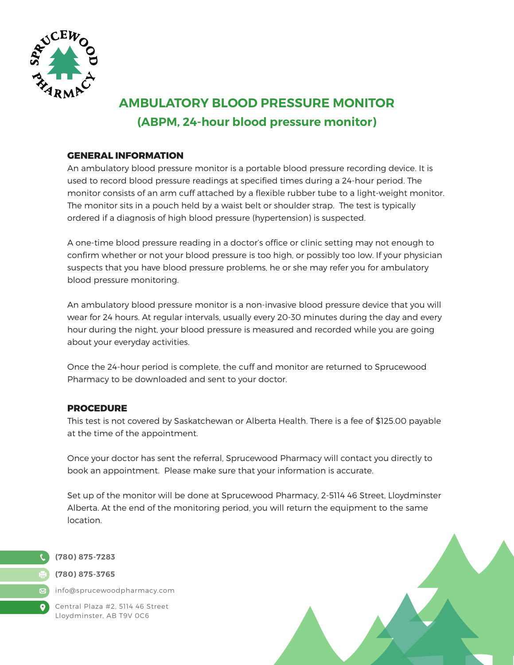

# **AMBULATORY BLOOD PRESSURE MONITOR (ABPM, 24-hour blood pressure monitor)**

# **GENERAL INFORMATION**

An ambulatory blood pressure monitor is a portable blood pressure recording device. It is used to record blood pressure readings at specified times during a 24-hour period. The monitor consists of an arm cuff attached by a flexible rubber tube to a light-weight monitor. The monitor sits in a pouch held by a waist belt or shoulder strap. The test is typically ordered if a diagnosis of high blood pressure (hypertension) is suspected.

A one-time blood pressure reading in a doctor's office or clinic setting may not enough to confirm whether or not your blood pressure is too high, or possibly too low. If your physician suspects that you have blood pressure problems, he or she may refer you for ambulatory blood pressure monitoring.

An ambulatory blood pressure monitor is a non-invasive blood pressure device that you will wear for 24 hours. At regular intervals, usually every 20-30 minutes during the day and every hour during the night, your blood pressure is measured and recorded while you are going about your everyday activities.

Once the 24-hour period is complete, the cuff and monitor are returned to Sprucewood Pharmacy to be downloaded and sent to your doctor.

# **PROCEDURE**

This test is not covered by Saskatchewan or Alberta Health. There is a fee of \$125.00 payable at the time of the appointment.

Once your doctor has sent the referral, Sprucewood Pharmacy will contact you directly to book an appointment. Please make sure that your information is accurate.

Set up of the monitor will be done at Sprucewood Pharmacy, 2-5114 46 Street, Lloydminster Alberta. At the end of the monitoring period, you will return the equipment to the same location.



 $\boxtimes$  $\bullet$ 

# **(780) 875-3765**

info@sprucewoodpharmacy.com

Central Plaza #2, 5114 46 Street Lloydminster, AB T9V 0C6